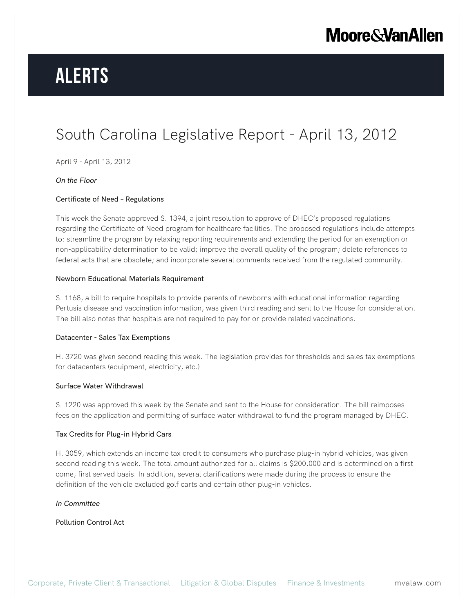# **Alerts**

### South Carolina Legislative Report - April 13, 2012

April 9 - April 13, 2012

#### *On the Floor*

#### Certificate of Need – Regulations

This week the Senate approved S. 1394, a joint resolution to approve of DHEC's proposed regulations regarding the Certificate of Need program for healthcare facilities. The proposed regulations include attempts to: streamline the program by relaxing reporting requirements and extending the period for an exemption or non-applicability determination to be valid; improve the overall quality of the program; delete references to federal acts that are obsolete; and incorporate several comments received from the regulated community.

#### Newborn Educational Materials Requirement

S. 1168, a bill to require hospitals to provide parents of newborns with educational information regarding Pertusis disease and vaccination information, was given third reading and sent to the House for consideration. The bill also notes that hospitals are not required to pay for or provide related vaccinations.

#### Datacenter - Sales Tax Exemptions

H. 3720 was given second reading this week. The legislation provides for thresholds and sales tax exemptions for datacenters (equipment, electricity, etc.)

#### Surface Water Withdrawal

S. 1220 was approved this week by the Senate and sent to the House for consideration. The bill reimposes fees on the application and permitting of surface water withdrawal to fund the program managed by DHEC.

#### Tax Credits for Plug-in Hybrid Cars

H. 3059, which extends an income tax credit to consumers who purchase plug-in hybrid vehicles, was given second reading this week. The total amount authorized for all claims is \$200,000 and is determined on a first come, first served basis. In addition, several clarifications were made during the process to ensure the definition of the vehicle excluded golf carts and certain other plug-in vehicles.

#### *In Committee*

Pollution Control Act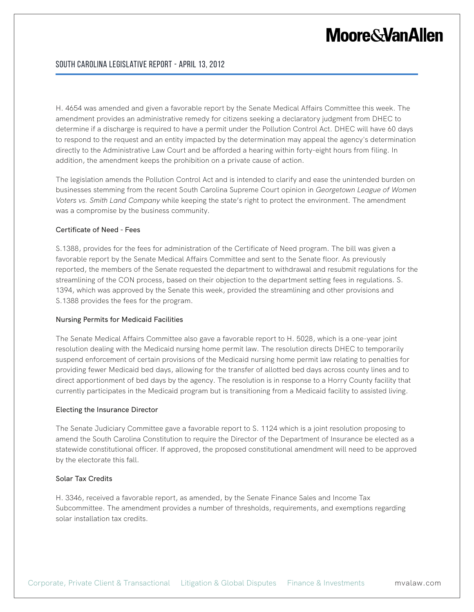### South Carolina Legislative Report - April 13, 2012

H. 4654 was amended and given a favorable report by the Senate Medical Affairs Committee this week. The amendment provides an administrative remedy for citizens seeking a declaratory judgment from DHEC to determine if a discharge is required to have a permit under the Pollution Control Act. DHEC will have 60 days to respond to the request and an entity impacted by the determination may appeal the agency's determination directly to the Administrative Law Court and be afforded a hearing within forty-eight hours from filing. In addition, the amendment keeps the prohibition on a private cause of action.

The legislation amends the Pollution Control Act and is intended to clarify and ease the unintended burden on businesses stemming from the recent South Carolina Supreme Court opinion in *Georgetown League of Women Voters vs. Smith Land Company* while keeping the state's right to protect the environment. The amendment was a compromise by the business community.

#### Certificate of Need - Fees

S.1388, provides for the fees for administration of the Certificate of Need program. The bill was given a favorable report by the Senate Medical Affairs Committee and sent to the Senate floor. As previously reported, the members of the Senate requested the department to withdrawal and resubmit regulations for the streamlining of the CON process, based on their objection to the department setting fees in regulations. S. 1394, which was approved by the Senate this week, provided the streamlining and other provisions and S.1388 provides the fees for the program.

#### Nursing Permits for Medicaid Facilities

The Senate Medical Affairs Committee also gave a favorable report to H. 5028, which is a one-year joint resolution dealing with the Medicaid nursing home permit law. The resolution directs DHEC to temporarily suspend enforcement of certain provisions of the Medicaid nursing home permit law relating to penalties for providing fewer Medicaid bed days, allowing for the transfer of allotted bed days across county lines and to direct apportionment of bed days by the agency. The resolution is in response to a Horry County facility that currently participates in the Medicaid program but is transitioning from a Medicaid facility to assisted living.

#### Electing the Insurance Director

The Senate Judiciary Committee gave a favorable report to S. 1124 which is a joint resolution proposing to amend the South Carolina Constitution to require the Director of the Department of Insurance be elected as a statewide constitutional officer. If approved, the proposed constitutional amendment will need to be approved by the electorate this fall.

#### Solar Tax Credits

H. 3346, received a favorable report, as amended, by the Senate Finance Sales and Income Tax Subcommittee. The amendment provides a number of thresholds, requirements, and exemptions regarding solar installation tax credits.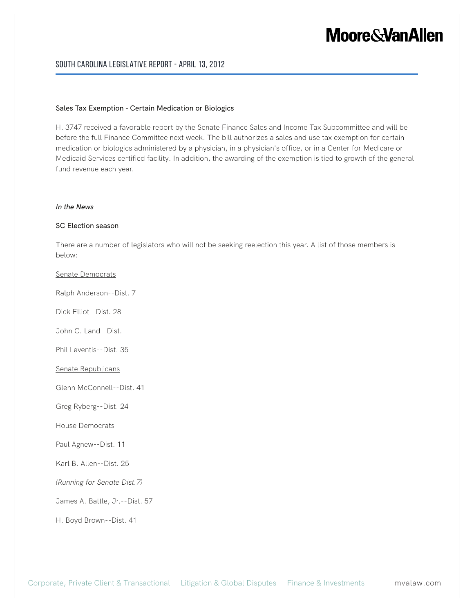### South Carolina Legislative Report - April 13, 2012

#### Sales Tax Exemption - Certain Medication or Biologics

H. 3747 received a favorable report by the Senate Finance Sales and Income Tax Subcommittee and will be before the full Finance Committee next week. The bill authorizes a sales and use tax exemption for certain medication or biologics administered by a physician, in a physician's office, or in a Center for Medicare or Medicaid Services certified facility. In addition, the awarding of the exemption is tied to growth of the general fund revenue each year.

#### *In the News*

#### SC Election season

There are a number of legislators who will not be seeking reelection this year. A list of those members is below:

#### Senate Democrats

Ralph Anderson--Dist. 7

Dick Elliot--Dist. 28

John C. Land--Dist.

Phil Leventis--Dist. 35

Senate Republicans

Glenn McConnell--Dist. 41

Greg Ryberg--Dist. 24

House Democrats

Paul Agnew--Dist. 11

Karl B. Allen--Dist. 25

*(Running for Senate Dist.7)*

James A. Battle, Jr.--Dist. 57

H. Boyd Brown--Dist. 41